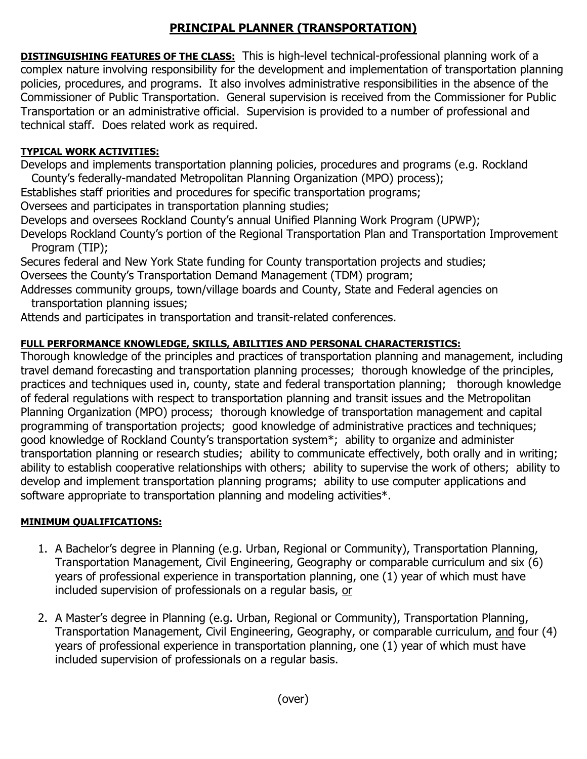## **PRINCIPAL PLANNER (TRANSPORTATION)**

**DISTINGUISHING FEATURES OF THE CLASS:** This is high-level technical-professional planning work of a complex nature involving responsibility for the development and implementation of transportation planning policies, procedures, and programs. It also involves administrative responsibilities in the absence of the Commissioner of Public Transportation. General supervision is received from the Commissioner for Public Transportation or an administrative official. Supervision is provided to a number of professional and technical staff. Does related work as required.

## **TYPICAL WORK ACTIVITIES:**

Develops and implements transportation planning policies, procedures and programs (e.g. Rockland County's federally-mandated Metropolitan Planning Organization (MPO) process);

Establishes staff priorities and procedures for specific transportation programs;

Oversees and participates in transportation planning studies;

Develops and oversees Rockland County's annual Unified Planning Work Program (UPWP);

Develops Rockland County's portion of the Regional Transportation Plan and Transportation Improvement Program (TIP);

Secures federal and New York State funding for County transportation projects and studies; Oversees the County's Transportation Demand Management (TDM) program;

Addresses community groups, town/village boards and County, State and Federal agencies on transportation planning issues;

Attends and participates in transportation and transit-related conferences.

## **FULL PERFORMANCE KNOWLEDGE, SKILLS, ABILITIES AND PERSONAL CHARACTERISTICS:**

Thorough knowledge of the principles and practices of transportation planning and management, including travel demand forecasting and transportation planning processes; thorough knowledge of the principles, practices and techniques used in, county, state and federal transportation planning; thorough knowledge of federal regulations with respect to transportation planning and transit issues and the Metropolitan Planning Organization (MPO) process; thorough knowledge of transportation management and capital programming of transportation projects; good knowledge of administrative practices and techniques; good knowledge of Rockland County's transportation system\*; ability to organize and administer transportation planning or research studies; ability to communicate effectively, both orally and in writing; ability to establish cooperative relationships with others; ability to supervise the work of others; ability to develop and implement transportation planning programs; ability to use computer applications and software appropriate to transportation planning and modeling activities\*.

## **MINIMUM QUALIFICATIONS:**

- 1. A Bachelor's degree in Planning (e.g. Urban, Regional or Community), Transportation Planning, Transportation Management, Civil Engineering, Geography or comparable curriculum and six (6) years of professional experience in transportation planning, one (1) year of which must have included supervision of professionals on a regular basis, or
- 2. A Master's degree in Planning (e.g. Urban, Regional or Community), Transportation Planning, Transportation Management, Civil Engineering, Geography, or comparable curriculum, and four (4) years of professional experience in transportation planning, one (1) year of which must have included supervision of professionals on a regular basis.